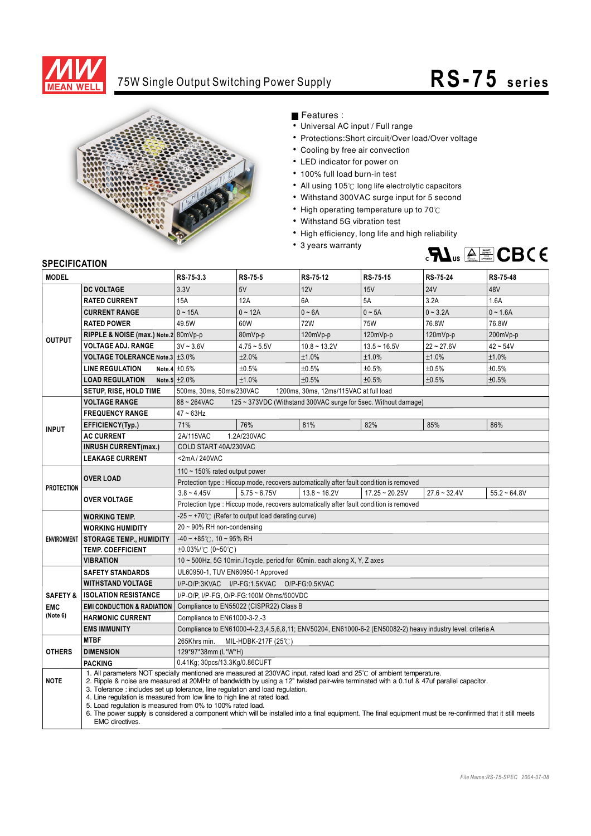

## 75W Single Output Switching Power Supply

## **R S -75 s e r i e s**



Features :

- Universal AC input / Full range
- Protections: Short circuit/Over load/Over voltage
- Cooling by free air convection
- LED indicator for power on
- 100% full load burn-in test
- All using 105°C long life electrolytic capacitors
- Withstand 300VAC surge input for 5 second
- High operating temperature up to  $70^{\circ}$ C
- Withstand 5G vibration test
- High efficiency, long life and high reliability
- 3 years warranty



## **SPECIFICATION**

| <b>MODEL</b>           |                                                                                                                                                                                                                                                                                                                                                                                                                                                                                                                                                                                                                                                                                    | RS-75-3.3                                                                                                  | <b>RS-75-5</b> | RS-75-12       | RS-75-15         | RS-75-24       | <b>RS-75-48</b> |
|------------------------|------------------------------------------------------------------------------------------------------------------------------------------------------------------------------------------------------------------------------------------------------------------------------------------------------------------------------------------------------------------------------------------------------------------------------------------------------------------------------------------------------------------------------------------------------------------------------------------------------------------------------------------------------------------------------------|------------------------------------------------------------------------------------------------------------|----------------|----------------|------------------|----------------|-----------------|
|                        | <b>DC VOLTAGE</b>                                                                                                                                                                                                                                                                                                                                                                                                                                                                                                                                                                                                                                                                  | 3.3V                                                                                                       | 5V             | 12V            | 15V              | <b>24V</b>     | 48V             |
| <b>OUTPUT</b>          | <b>RATED CURRENT</b>                                                                                                                                                                                                                                                                                                                                                                                                                                                                                                                                                                                                                                                               | 15A                                                                                                        | 12A            | 6A             | 5A               | 3.2A           | 1.6A            |
|                        | <b>CURRENT RANGE</b>                                                                                                                                                                                                                                                                                                                                                                                                                                                                                                                                                                                                                                                               | $0 - 15A$                                                                                                  | $0 - 12A$      | $0 - 6A$       | $0 \sim 5A$      | $0 - 3.2A$     | $0 - 1.6A$      |
|                        | <b>RATED POWER</b>                                                                                                                                                                                                                                                                                                                                                                                                                                                                                                                                                                                                                                                                 | 49.5W                                                                                                      | 60W            | <b>72W</b>     | <b>75W</b>       | 76.8W          | 76.8W           |
|                        | RIPPLE & NOISE (max.) Note.2 80mVp-p                                                                                                                                                                                                                                                                                                                                                                                                                                                                                                                                                                                                                                               |                                                                                                            | 80mVp-p        | 120mVp-p       | 120mVp-p         | $120mVp-p$     | 200mVp-p        |
|                        | <b>VOLTAGE ADJ. RANGE</b>                                                                                                                                                                                                                                                                                                                                                                                                                                                                                                                                                                                                                                                          | $3V - 3.6V$                                                                                                | $4.75 - 5.5V$  | $10.8 - 13.2V$ | $13.5 - 16.5V$   | $22 - 27.6V$   | $42 - 54V$      |
|                        | VOLTAGE TOLERANCE Note.3 ±3.0%                                                                                                                                                                                                                                                                                                                                                                                                                                                                                                                                                                                                                                                     |                                                                                                            | ±2.0%          | ±1.0%          | ±1.0%            | ±1.0%          | ±1.0%           |
|                        | <b>LINE REGULATION</b>                                                                                                                                                                                                                                                                                                                                                                                                                                                                                                                                                                                                                                                             | Note.4 $\pm 0.5\%$                                                                                         | ±0.5%          | ±0.5%          | ±0.5%            | ±0.5%          | ±0.5%           |
|                        | <b>LOAD REGULATION</b>                                                                                                                                                                                                                                                                                                                                                                                                                                                                                                                                                                                                                                                             | Note.5 $\pm 2.0\%$                                                                                         | ±1.0%          | ±0.5%          | ±0.5%            | ±0.5%          | ±0.5%           |
|                        | SETUP, RISE, HOLD TIME                                                                                                                                                                                                                                                                                                                                                                                                                                                                                                                                                                                                                                                             | 500ms, 30ms, 50ms/230VAC<br>1200ms, 30ms, 12ms/115VAC at full load                                         |                |                |                  |                |                 |
|                        | <b>VOLTAGE RANGE</b>                                                                                                                                                                                                                                                                                                                                                                                                                                                                                                                                                                                                                                                               | $88 - 264$ VAC<br>125 ~ 373VDC (Withstand 300VAC surge for 5sec. Without damage)                           |                |                |                  |                |                 |
| <b>INPUT</b>           | <b>FREQUENCY RANGE</b>                                                                                                                                                                                                                                                                                                                                                                                                                                                                                                                                                                                                                                                             | $47 \sim 63$ Hz                                                                                            |                |                |                  |                |                 |
|                        | EFFICIENCY(Typ.)                                                                                                                                                                                                                                                                                                                                                                                                                                                                                                                                                                                                                                                                   | 71%                                                                                                        | 76%            | 81%            | 82%              | 85%            | 86%             |
|                        | <b>AC CURRENT</b>                                                                                                                                                                                                                                                                                                                                                                                                                                                                                                                                                                                                                                                                  | 2A/115VAC<br>1.2A/230VAC                                                                                   |                |                |                  |                |                 |
|                        | <b>INRUSH CURRENT(max.)</b>                                                                                                                                                                                                                                                                                                                                                                                                                                                                                                                                                                                                                                                        | COLD START 40A/230VAC                                                                                      |                |                |                  |                |                 |
|                        | <b>LEAKAGE CURRENT</b>                                                                                                                                                                                                                                                                                                                                                                                                                                                                                                                                                                                                                                                             | <2mA/240VAC                                                                                                |                |                |                  |                |                 |
| <b>PROTECTION</b>      | <b>OVER LOAD</b>                                                                                                                                                                                                                                                                                                                                                                                                                                                                                                                                                                                                                                                                   | 110 $\sim$ 150% rated output power                                                                         |                |                |                  |                |                 |
|                        |                                                                                                                                                                                                                                                                                                                                                                                                                                                                                                                                                                                                                                                                                    | Protection type : Hiccup mode, recovers automatically after fault condition is removed                     |                |                |                  |                |                 |
|                        | <b>OVER VOLTAGE</b>                                                                                                                                                                                                                                                                                                                                                                                                                                                                                                                                                                                                                                                                | $3.8 - 4.45V$                                                                                              | $5.75 - 6.75V$ | $13.8 - 16.2V$ | $17.25 - 20.25V$ | $27.6 - 32.4V$ | $55.2 - 64.8V$  |
|                        |                                                                                                                                                                                                                                                                                                                                                                                                                                                                                                                                                                                                                                                                                    | Protection type : Hiccup mode, recovers automatically after fault condition is removed                     |                |                |                  |                |                 |
|                        | <b>WORKING TEMP.</b>                                                                                                                                                                                                                                                                                                                                                                                                                                                                                                                                                                                                                                                               | $-25 \sim +70^{\circ}$ (Refer to output load derating curve)                                               |                |                |                  |                |                 |
|                        | <b>WORKING HUMIDITY</b>                                                                                                                                                                                                                                                                                                                                                                                                                                                                                                                                                                                                                                                            | $20 \sim 90\%$ RH non-condensing                                                                           |                |                |                  |                |                 |
|                        | ENVIRONMENT   STORAGE TEMP., HUMIDITY                                                                                                                                                                                                                                                                                                                                                                                                                                                                                                                                                                                                                                              | $-40 \sim +85^{\circ}$ C, 10 ~ 95% RH                                                                      |                |                |                  |                |                 |
|                        | <b>TEMP. COEFFICIENT</b>                                                                                                                                                                                                                                                                                                                                                                                                                                                                                                                                                                                                                                                           | ±0.03%/°C (0~50°C)                                                                                         |                |                |                  |                |                 |
|                        | <b>VIBRATION</b>                                                                                                                                                                                                                                                                                                                                                                                                                                                                                                                                                                                                                                                                   | 10 $\sim$ 500Hz, 5G 10min./1cycle, period for 60min. each along X, Y, Z axes                               |                |                |                  |                |                 |
|                        | <b>SAFETY STANDARDS</b>                                                                                                                                                                                                                                                                                                                                                                                                                                                                                                                                                                                                                                                            | UL60950-1, TUV EN60950-1 Approved                                                                          |                |                |                  |                |                 |
|                        | <b>WITHSTAND VOLTAGE</b>                                                                                                                                                                                                                                                                                                                                                                                                                                                                                                                                                                                                                                                           | I/P-O/P:3KVAC I/P-FG:1.5KVAC O/P-FG:0.5KVAC                                                                |                |                |                  |                |                 |
| <b>SAFETY &amp;</b>    | <b>ISOLATION RESISTANCE</b><br>I/P-O/P, I/P-FG, O/P-FG:100M Ohms/500VDC                                                                                                                                                                                                                                                                                                                                                                                                                                                                                                                                                                                                            |                                                                                                            |                |                |                  |                |                 |
| <b>EMC</b><br>(Note 6) | <b>EMI CONDUCTION &amp; RADIATION</b>                                                                                                                                                                                                                                                                                                                                                                                                                                                                                                                                                                                                                                              | Compliance to EN55022 (CISPR22) Class B                                                                    |                |                |                  |                |                 |
|                        | <b>HARMONIC CURRENT</b>                                                                                                                                                                                                                                                                                                                                                                                                                                                                                                                                                                                                                                                            | Compliance to EN61000-3-2,-3                                                                               |                |                |                  |                |                 |
|                        | <b>EMS IMMUNITY</b>                                                                                                                                                                                                                                                                                                                                                                                                                                                                                                                                                                                                                                                                | Compliance to EN61000-4-2,3,4,5,6,8,11; ENV50204, EN61000-6-2 (EN50082-2) heavy industry level, criteria A |                |                |                  |                |                 |
| <b>OTHERS</b>          | <b>MTBF</b>                                                                                                                                                                                                                                                                                                                                                                                                                                                                                                                                                                                                                                                                        | 265Khrs min.<br>MIL-HDBK-217F (25℃)                                                                        |                |                |                  |                |                 |
|                        | <b>DIMENSION</b>                                                                                                                                                                                                                                                                                                                                                                                                                                                                                                                                                                                                                                                                   | 129*97*38mm (L*W*H)                                                                                        |                |                |                  |                |                 |
|                        | PACKING                                                                                                                                                                                                                                                                                                                                                                                                                                                                                                                                                                                                                                                                            | 0.41Kg; 30pcs/13.3Kg/0.86CUFT                                                                              |                |                |                  |                |                 |
| <b>NOTE</b>            | 1. All parameters NOT specially mentioned are measured at 230VAC input, rated load and 25°C of ambient temperature.<br>2. Ripple & noise are measured at 20MHz of bandwidth by using a 12" twisted pair-wire terminated with a 0.1uf & 47uf parallel capacitor.<br>3. Tolerance: includes set up tolerance, line regulation and load regulation.<br>4. Line regulation is measured from low line to high line at rated load.<br>5. Load regulation is measured from 0% to 100% rated load.<br>6. The power supply is considered a component which will be installed into a final equipment. The final equipment must be re-confirmed that it still meets<br><b>EMC</b> directives. |                                                                                                            |                |                |                  |                |                 |